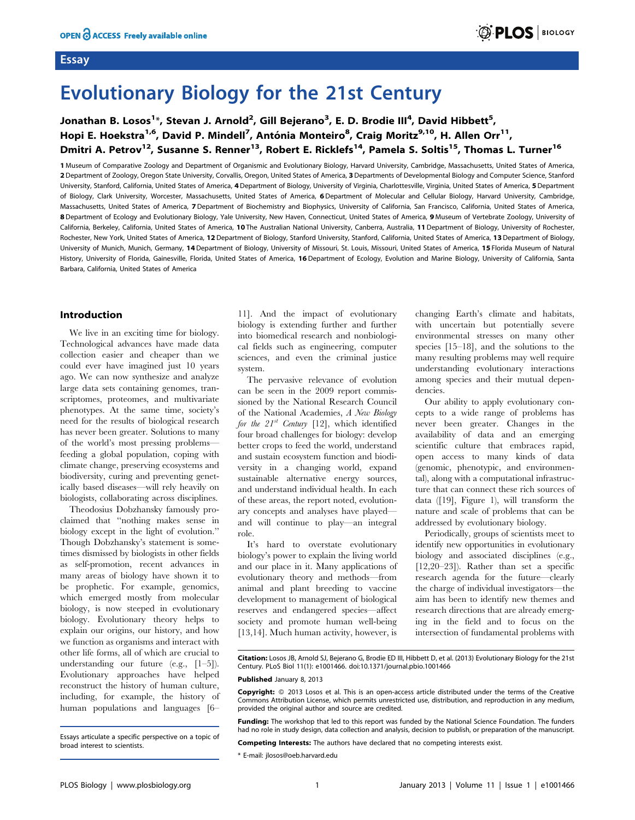

# Evolutionary Biology for the 21st Century

## Jonathan B. Losos<sup>1</sup>\*, Stevan J. Arnold<sup>2</sup>, Gill Bejerano<sup>3</sup>, E. D. Brodie III<sup>4</sup>, David Hibbett<sup>5</sup>, Hopi E. Hoekstra<sup>1,6</sup>, David P. Mindell<sup>7</sup>, Antónia Monteiro<sup>8</sup>, Craig Moritz<sup>9,10</sup>, H. Allen Orr<sup>11</sup>, Dmitri A. Petrov<sup>12</sup>, Susanne S. Renner<sup>13</sup>, Robert E. Ricklefs<sup>14</sup>, Pamela S. Soltis<sup>15</sup>, Thomas L. Turner<sup>16</sup>

1 Museum of Comparative Zoology and Department of Organismic and Evolutionary Biology, Harvard University, Cambridge, Massachusetts, United States of America, 2 Department of Zoology, Oregon State University, Corvallis, Oregon, United States of America, 3Departments of Developmental Biology and Computer Science, Stanford University, Stanford, California, United States of America, 4 Department of Biology, University of Virginia, Charlottesville, Virginia, United States of America, 5 Department of Biology, Clark University, Worcester, Massachusetts, United States of America, 6 Department of Molecular and Cellular Biology, Harvard University, Cambridge, Massachusetts, United States of America, 7Department of Biochemistry and Biophysics, University of California, San Francisco, California, United States of America, 8 Department of Ecology and Evolutionary Biology, Yale University, New Haven, Connecticut, United States of America, 9 Museum of Vertebrate Zoology, University of California, Berkeley, California, United States of America, 10 The Australian National University, Canberra, Australia, 11 Department of Biology, University of Rochester, Rochester, New York, United States of America, 12 Department of Biology, Stanford University, Stanford, California, United States of America, 13 Department of Biology, University of Munich, Munich, Germany, 14 Department of Biology, University of Missouri, St. Louis, Missouri, United States of America, 15 Florida Museum of Natural History, University of Florida, Gainesville, Florida, United States of America, 16 Department of Ecology, Evolution and Marine Biology, University of California, Santa Barbara, California, United States of America

#### Introduction

We live in an exciting time for biology. Technological advances have made data collection easier and cheaper than we could ever have imagined just 10 years ago. We can now synthesize and analyze large data sets containing genomes, transcriptomes, proteomes, and multivariate phenotypes. At the same time, society's need for the results of biological research has never been greater. Solutions to many of the world's most pressing problems feeding a global population, coping with climate change, preserving ecosystems and biodiversity, curing and preventing genetically based diseases—will rely heavily on biologists, collaborating across disciplines.

Theodosius Dobzhansky famously proclaimed that ''nothing makes sense in biology except in the light of evolution.'' Though Dobzhansky's statement is sometimes dismissed by biologists in other fields as self-promotion, recent advances in many areas of biology have shown it to be prophetic. For example, genomics, which emerged mostly from molecular biology, is now steeped in evolutionary biology. Evolutionary theory helps to explain our origins, our history, and how we function as organisms and interact with other life forms, all of which are crucial to understanding our future (e.g., [1–5]). Evolutionary approaches have helped reconstruct the history of human culture, including, for example, the history of human populations and languages [6–

Essays articulate a specific perspective on a topic of broad interest to scientists.

11]. And the impact of evolutionary biology is extending further and further into biomedical research and nonbiological fields such as engineering, computer sciences, and even the criminal justice system.

The pervasive relevance of evolution can be seen in the 2009 report commissioned by the National Research Council of the National Academies, A New Biology for the  $21^{st}$  Century [12], which identified four broad challenges for biology: develop better crops to feed the world, understand and sustain ecosystem function and biodiversity in a changing world, expand sustainable alternative energy sources, and understand individual health. In each of these areas, the report noted, evolutionary concepts and analyses have played and will continue to play—an integral role.

It's hard to overstate evolutionary biology's power to explain the living world and our place in it. Many applications of evolutionary theory and methods—from animal and plant breeding to vaccine development to management of biological reserves and endangered species—affect society and promote human well-being [13,14]. Much human activity, however, is changing Earth's climate and habitats, with uncertain but potentially severe environmental stresses on many other species [15–18], and the solutions to the many resulting problems may well require understanding evolutionary interactions among species and their mutual dependencies.

Our ability to apply evolutionary concepts to a wide range of problems has never been greater. Changes in the availability of data and an emerging scientific culture that embraces rapid, open access to many kinds of data (genomic, phenotypic, and environmental), along with a computational infrastructure that can connect these rich sources of data ([19], Figure 1), will transform the nature and scale of problems that can be addressed by evolutionary biology.

Periodically, groups of scientists meet to identify new opportunities in evolutionary biology and associated disciplines (e.g., [12,20–23]). Rather than set a specific research agenda for the future—clearly the charge of individual investigators—the aim has been to identify new themes and research directions that are already emerging in the field and to focus on the intersection of fundamental problems with

Citation: Losos JB, Arnold SJ, Bejerano G, Brodie ED III, Hibbett D, et al. (2013) Evolutionary Biology for the 21st Century. PLoS Biol 11(1): e1001466. doi:10.1371/journal.pbio.1001466

#### Published January 8, 2013

Funding: The workshop that led to this report was funded by the National Science Foundation. The funders had no role in study design, data collection and analysis, decision to publish, or preparation of the manuscript.

Competing Interests: The authors have declared that no competing interests exist.

\* E-mail: jlosos@oeb.harvard.edu

Copyright: © 2013 Losos et al. This is an open-access article distributed under the terms of the Creative **Commons Attribution License, which permits unrestricted use, distribution, and reproduction in any medium,** provided the original author and source are credited.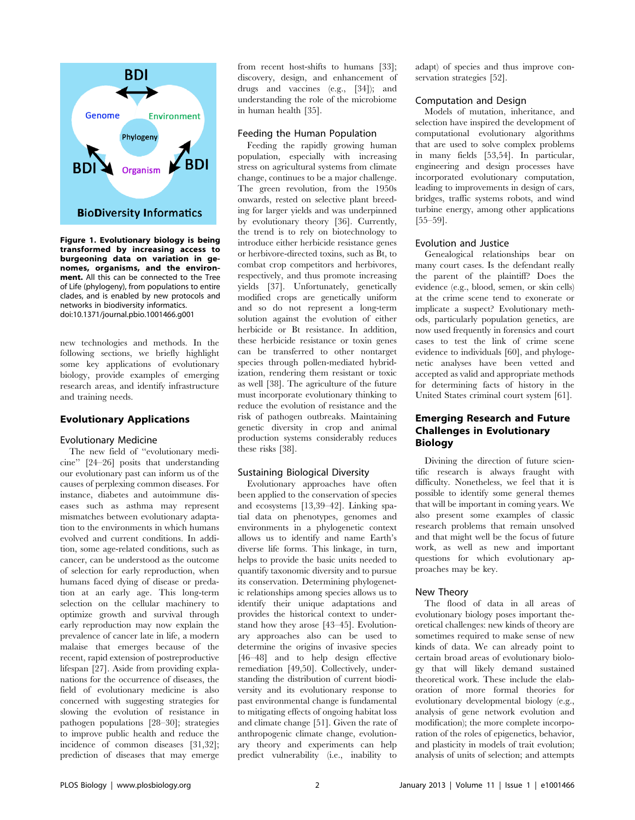

Figure 1. Evolutionary biology is being transformed by increasing access to burgeoning data on variation in genomes, organisms, and the environment. All this can be connected to the Tree of Life (phylogeny), from populations to entire clades, and is enabled by new protocols and networks in biodiversity informatics. doi:10.1371/journal.pbio.1001466.g001

new technologies and methods. In the following sections, we briefly highlight some key applications of evolutionary biology, provide examples of emerging research areas, and identify infrastructure and training needs.

## Evolutionary Applications

#### Evolutionary Medicine

The new field of ''evolutionary medicine'' [24–26] posits that understanding our evolutionary past can inform us of the causes of perplexing common diseases. For instance, diabetes and autoimmune diseases such as asthma may represent mismatches between evolutionary adaptation to the environments in which humans evolved and current conditions. In addition, some age-related conditions, such as cancer, can be understood as the outcome of selection for early reproduction, when humans faced dying of disease or predation at an early age. This long-term selection on the cellular machinery to optimize growth and survival through early reproduction may now explain the prevalence of cancer late in life, a modern malaise that emerges because of the recent, rapid extension of postreproductive lifespan [27]. Aside from providing explanations for the occurrence of diseases, the field of evolutionary medicine is also concerned with suggesting strategies for slowing the evolution of resistance in pathogen populations [28–30]; strategies to improve public health and reduce the incidence of common diseases [31,32]; prediction of diseases that may emerge

from recent host-shifts to humans [33]; discovery, design, and enhancement of drugs and vaccines (e.g., [34]); and understanding the role of the microbiome in human health [35].

#### Feeding the Human Population

Feeding the rapidly growing human population, especially with increasing stress on agricultural systems from climate change, continues to be a major challenge. The green revolution, from the 1950s onwards, rested on selective plant breeding for larger yields and was underpinned by evolutionary theory [36]. Currently, the trend is to rely on biotechnology to introduce either herbicide resistance genes or herbivore-directed toxins, such as Bt, to combat crop competitors and herbivores, respectively, and thus promote increasing yields [37]. Unfortunately, genetically modified crops are genetically uniform and so do not represent a long-term solution against the evolution of either herbicide or Bt resistance. In addition, these herbicide resistance or toxin genes can be transferred to other nontarget species through pollen-mediated hybridization, rendering them resistant or toxic as well [38]. The agriculture of the future must incorporate evolutionary thinking to reduce the evolution of resistance and the risk of pathogen outbreaks. Maintaining genetic diversity in crop and animal production systems considerably reduces these risks [38].

#### Sustaining Biological Diversity

Evolutionary approaches have often been applied to the conservation of species and ecosystems [13,39–42]. Linking spatial data on phenotypes, genomes and environments in a phylogenetic context allows us to identify and name Earth's diverse life forms. This linkage, in turn, helps to provide the basic units needed to quantify taxonomic diversity and to pursue its conservation. Determining phylogenetic relationships among species allows us to identify their unique adaptations and provides the historical context to understand how they arose [43–45]. Evolutionary approaches also can be used to determine the origins of invasive species [46–48] and to help design effective remediation [49,50]. Collectively, understanding the distribution of current biodiversity and its evolutionary response to past environmental change is fundamental to mitigating effects of ongoing habitat loss and climate change [51]. Given the rate of anthropogenic climate change, evolutionary theory and experiments can help predict vulnerability (i.e., inability to adapt) of species and thus improve conservation strategies [52].

#### Computation and Design

Models of mutation, inheritance, and selection have inspired the development of computational evolutionary algorithms that are used to solve complex problems in many fields [53,54]. In particular, engineering and design processes have incorporated evolutionary computation, leading to improvements in design of cars, bridges, traffic systems robots, and wind turbine energy, among other applications [55–59].

#### Evolution and Justice

Genealogical relationships bear on many court cases. Is the defendant really the parent of the plaintiff? Does the evidence (e.g., blood, semen, or skin cells) at the crime scene tend to exonerate or implicate a suspect? Evolutionary methods, particularly population genetics, are now used frequently in forensics and court cases to test the link of crime scene evidence to individuals [60], and phylogenetic analyses have been vetted and accepted as valid and appropriate methods for determining facts of history in the United States criminal court system [61].

## Emerging Research and Future Challenges in Evolutionary Biology

Divining the direction of future scientific research is always fraught with difficulty. Nonetheless, we feel that it is possible to identify some general themes that will be important in coming years. We also present some examples of classic research problems that remain unsolved and that might well be the focus of future work, as well as new and important questions for which evolutionary approaches may be key.

#### New Theory

The flood of data in all areas of evolutionary biology poses important theoretical challenges: new kinds of theory are sometimes required to make sense of new kinds of data. We can already point to certain broad areas of evolutionary biology that will likely demand sustained theoretical work. These include the elaboration of more formal theories for evolutionary developmental biology (e.g., analysis of gene network evolution and modification); the more complete incorporation of the roles of epigenetics, behavior, and plasticity in models of trait evolution; analysis of units of selection; and attempts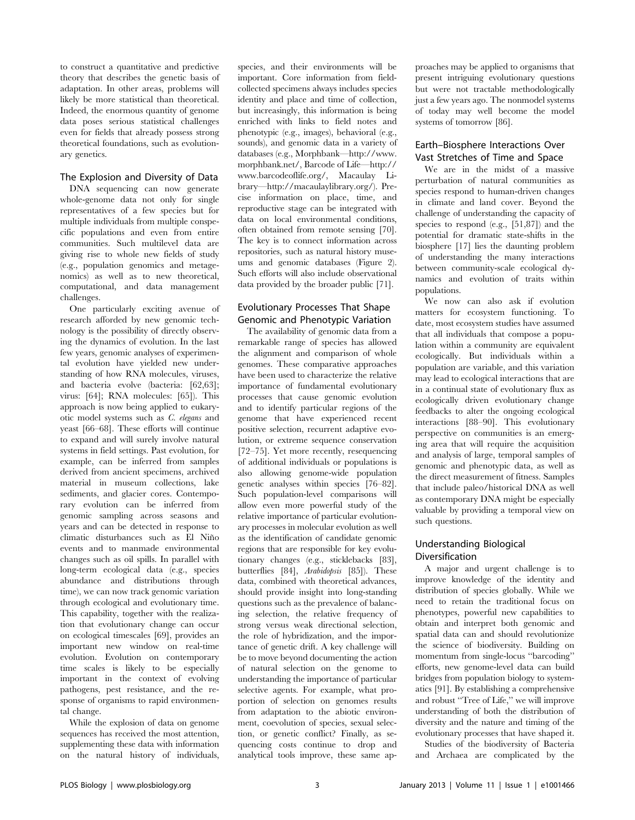to construct a quantitative and predictive theory that describes the genetic basis of adaptation. In other areas, problems will likely be more statistical than theoretical. Indeed, the enormous quantity of genome data poses serious statistical challenges even for fields that already possess strong theoretical foundations, such as evolutionary genetics.

### The Explosion and Diversity of Data

DNA sequencing can now generate whole-genome data not only for single representatives of a few species but for multiple individuals from multiple conspecific populations and even from entire communities. Such multilevel data are giving rise to whole new fields of study (e.g., population genomics and metagenomics) as well as to new theoretical, computational, and data management challenges.

One particularly exciting avenue of research afforded by new genomic technology is the possibility of directly observing the dynamics of evolution. In the last few years, genomic analyses of experimental evolution have yielded new understanding of how RNA molecules, viruses, and bacteria evolve (bacteria: [62,63]; virus: [64]; RNA molecules: [65]). This approach is now being applied to eukaryotic model systems such as C. elegans and yeast [66–68]. These efforts will continue to expand and will surely involve natural systems in field settings. Past evolution, for example, can be inferred from samples derived from ancient specimens, archived material in museum collections, lake sediments, and glacier cores. Contemporary evolution can be inferred from genomic sampling across seasons and years and can be detected in response to climatic disturbances such as El Niño events and to manmade environmental changes such as oil spills. In parallel with long-term ecological data (e.g., species abundance and distributions through time), we can now track genomic variation through ecological and evolutionary time. This capability, together with the realization that evolutionary change can occur on ecological timescales [69], provides an important new window on real-time evolution. Evolution on contemporary time scales is likely to be especially important in the context of evolving pathogens, pest resistance, and the response of organisms to rapid environmental change.

While the explosion of data on genome sequences has received the most attention, supplementing these data with information on the natural history of individuals, species, and their environments will be important. Core information from fieldcollected specimens always includes species identity and place and time of collection, but increasingly, this information is being enriched with links to field notes and phenotypic (e.g., images), behavioral (e.g., sounds), and genomic data in a variety of databases (e.g., Morphbank—http://www. morphbank.net/, Barcode of Life—http:// www.barcodeoflife.org/, Macaulay Library—http://macaulaylibrary.org/). Precise information on place, time, and reproductive stage can be integrated with data on local environmental conditions, often obtained from remote sensing [70]. The key is to connect information across repositories, such as natural history museums and genomic databases (Figure 2). Such efforts will also include observational data provided by the broader public [71].

#### Evolutionary Processes That Shape Genomic and Phenotypic Variation

The availability of genomic data from a remarkable range of species has allowed the alignment and comparison of whole genomes. These comparative approaches have been used to characterize the relative importance of fundamental evolutionary processes that cause genomic evolution and to identify particular regions of the genome that have experienced recent positive selection, recurrent adaptive evolution, or extreme sequence conservation [72–75]. Yet more recently, resequencing of additional individuals or populations is also allowing genome-wide population genetic analyses within species [76–82]. Such population-level comparisons will allow even more powerful study of the relative importance of particular evolutionary processes in molecular evolution as well as the identification of candidate genomic regions that are responsible for key evolutionary changes (e.g., sticklebacks [83], butterflies [84], Arabidopsis [85]). These data, combined with theoretical advances, should provide insight into long-standing questions such as the prevalence of balancing selection, the relative frequency of strong versus weak directional selection, the role of hybridization, and the importance of genetic drift. A key challenge will be to move beyond documenting the action of natural selection on the genome to understanding the importance of particular selective agents. For example, what proportion of selection on genomes results from adaptation to the abiotic environment, coevolution of species, sexual selection, or genetic conflict? Finally, as sequencing costs continue to drop and analytical tools improve, these same approaches may be applied to organisms that present intriguing evolutionary questions but were not tractable methodologically just a few years ago. The nonmodel systems of today may well become the model systems of tomorrow [86].

## Earth–Biosphere Interactions Over Vast Stretches of Time and Space

We are in the midst of a massive perturbation of natural communities as species respond to human-driven changes in climate and land cover. Beyond the challenge of understanding the capacity of species to respond (e.g., [51,87]) and the potential for dramatic state-shifts in the biosphere [17] lies the daunting problem of understanding the many interactions between community-scale ecological dynamics and evolution of traits within populations.

We now can also ask if evolution matters for ecosystem functioning. To date, most ecosystem studies have assumed that all individuals that compose a population within a community are equivalent ecologically. But individuals within a population are variable, and this variation may lead to ecological interactions that are in a continual state of evolutionary flux as ecologically driven evolutionary change feedbacks to alter the ongoing ecological interactions [88–90]. This evolutionary perspective on communities is an emerging area that will require the acquisition and analysis of large, temporal samples of genomic and phenotypic data, as well as the direct measurement of fitness. Samples that include paleo/historical DNA as well as contemporary DNA might be especially valuable by providing a temporal view on such questions.

## Understanding Biological Diversification

A major and urgent challenge is to improve knowledge of the identity and distribution of species globally. While we need to retain the traditional focus on phenotypes, powerful new capabilities to obtain and interpret both genomic and spatial data can and should revolutionize the science of biodiversity. Building on momentum from single-locus ''barcoding'' efforts, new genome-level data can build bridges from population biology to systematics [91]. By establishing a comprehensive and robust ''Tree of Life,'' we will improve understanding of both the distribution of diversity and the nature and timing of the evolutionary processes that have shaped it.

Studies of the biodiversity of Bacteria and Archaea are complicated by the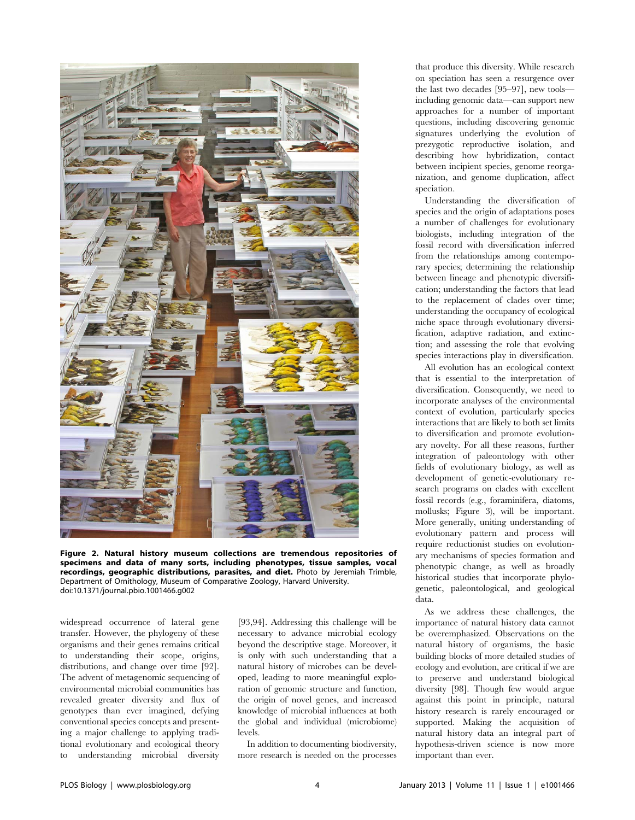

Figure 2. Natural history museum collections are tremendous repositories of specimens and data of many sorts, including phenotypes, tissue samples, vocal recordings, geographic distributions, parasites, and diet. Photo by Jeremiah Trimble, Department of Ornithology, Museum of Comparative Zoology, Harvard University. doi:10.1371/journal.pbio.1001466.g002

widespread occurrence of lateral gene transfer. However, the phylogeny of these organisms and their genes remains critical to understanding their scope, origins, distributions, and change over time [92]. The advent of metagenomic sequencing of environmental microbial communities has revealed greater diversity and flux of genotypes than ever imagined, defying conventional species concepts and presenting a major challenge to applying traditional evolutionary and ecological theory to understanding microbial diversity

[93,94]. Addressing this challenge will be necessary to advance microbial ecology beyond the descriptive stage. Moreover, it is only with such understanding that a natural history of microbes can be developed, leading to more meaningful exploration of genomic structure and function, the origin of novel genes, and increased knowledge of microbial influences at both the global and individual (microbiome) levels.

In addition to documenting biodiversity, more research is needed on the processes that produce this diversity. While research on speciation has seen a resurgence over the last two decades [95–97], new tools including genomic data—can support new approaches for a number of important questions, including discovering genomic signatures underlying the evolution of prezygotic reproductive isolation, and describing how hybridization, contact between incipient species, genome reorganization, and genome duplication, affect speciation.

Understanding the diversification of species and the origin of adaptations poses a number of challenges for evolutionary biologists, including integration of the fossil record with diversification inferred from the relationships among contemporary species; determining the relationship between lineage and phenotypic diversification; understanding the factors that lead to the replacement of clades over time; understanding the occupancy of ecological niche space through evolutionary diversification, adaptive radiation, and extinction; and assessing the role that evolving species interactions play in diversification.

All evolution has an ecological context that is essential to the interpretation of diversification. Consequently, we need to incorporate analyses of the environmental context of evolution, particularly species interactions that are likely to both set limits to diversification and promote evolutionary novelty. For all these reasons, further integration of paleontology with other fields of evolutionary biology, as well as development of genetic-evolutionary research programs on clades with excellent fossil records (e.g., foraminifera, diatoms, mollusks; Figure 3), will be important. More generally, uniting understanding of evolutionary pattern and process will require reductionist studies on evolutionary mechanisms of species formation and phenotypic change, as well as broadly historical studies that incorporate phylogenetic, paleontological, and geological data.

As we address these challenges, the importance of natural history data cannot be overemphasized. Observations on the natural history of organisms, the basic building blocks of more detailed studies of ecology and evolution, are critical if we are to preserve and understand biological diversity [98]. Though few would argue against this point in principle, natural history research is rarely encouraged or supported. Making the acquisition of natural history data an integral part of hypothesis-driven science is now more important than ever.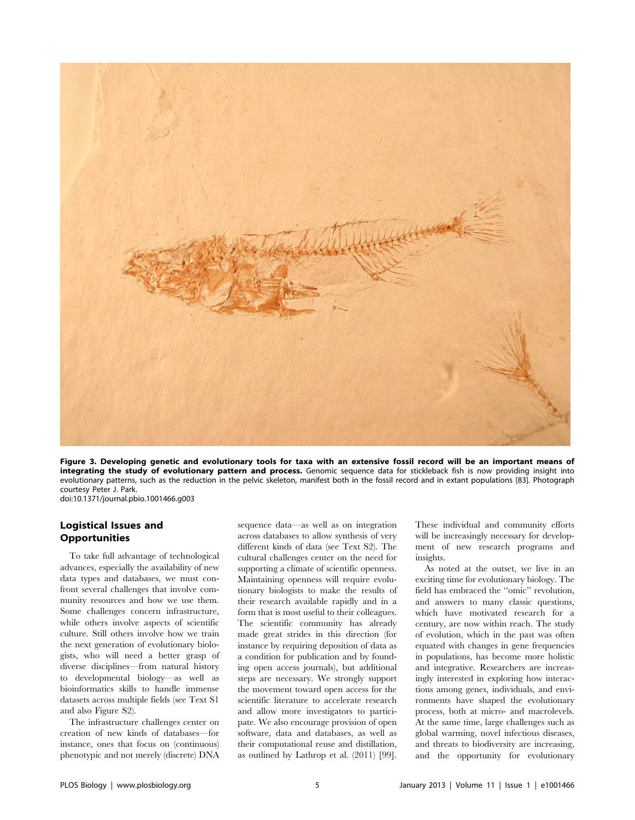

Figure 3. Developing genetic and evolutionary tools for taxa with an extensive fossil record will be an important means of integrating the study of evolutionary pattern and process. Genomic sequence data for stickleback fish is now providing insight into evolutionary patterns, such as the reduction in the pelvic skeleton, manifest both in the fossil record and in extant populations [83]. Photograph courtesy Peter J. Park.

doi:10.1371/journal.pbio.1001466.g003

## Logistical Issues and **Opportunities**

To take full advantage of technological advances, especially the availability of new data types and databases, we must confront several challenges that involve community resources and how we use them. Some challenges concern infrastructure, while others involve aspects of scientific culture. Still others involve how we train the next generation of evolutionary biologists, who will need a better grasp of diverse disciplines—from natural history to developmental biology—as well as bioinformatics skills to handle immense datasets across multiple fields (see Text S1 and also Figure S2).

The infrastructure challenges center on creation of new kinds of databases—for instance, ones that focus on (continuous) phenotypic and not merely (discrete) DNA sequence data—as well as on integration across databases to allow synthesis of very different kinds of data (see Text S2). The cultural challenges center on the need for supporting a climate of scientific openness. Maintaining openness will require evolutionary biologists to make the results of their research available rapidly and in a form that is most useful to their colleagues. The scientific community has already made great strides in this direction (for instance by requiring deposition of data as a condition for publication and by founding open access journals), but additional steps are necessary. We strongly support the movement toward open access for the scientific literature to accelerate research and allow more investigators to participate. We also encourage provision of open software, data and databases, as well as their computational reuse and distillation, as outlined by Lathrop et al. (2011) [99].

These individual and community efforts will be increasingly necessary for development of new research programs and insights.

As noted at the outset, we live in an exciting time for evolutionary biology. The field has embraced the ''omic'' revolution, and answers to many classic questions, which have motivated research for a century, are now within reach. The study of evolution, which in the past was often equated with changes in gene frequencies in populations, has become more holistic and integrative. Researchers are increasingly interested in exploring how interactions among genes, individuals, and environments have shaped the evolutionary process, both at micro- and macrolevels. At the same time, large challenges such as global warming, novel infectious diseases, and threats to biodiversity are increasing, and the opportunity for evolutionary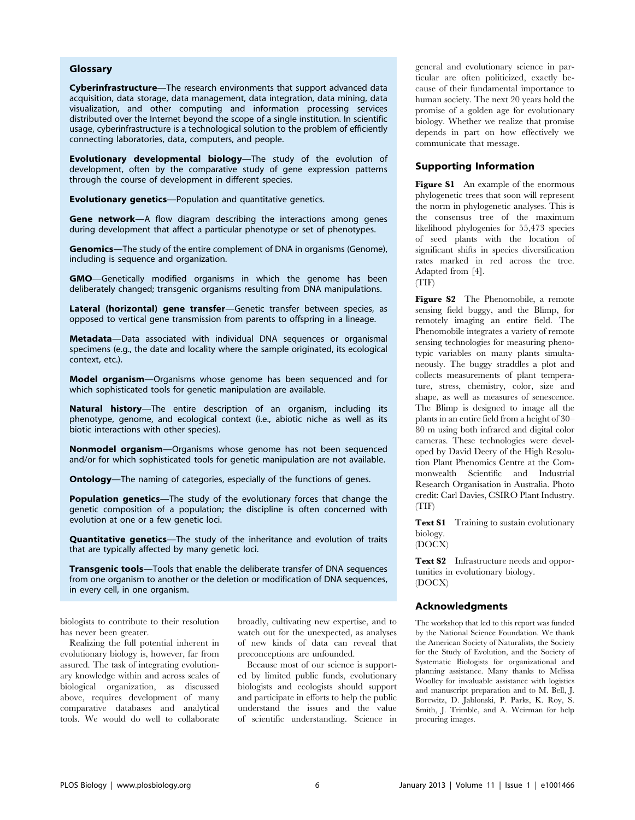## Glossary

Cyberinfrastructure—The research environments that support advanced data acquisition, data storage, data management, data integration, data mining, data visualization, and other computing and information processing services distributed over the Internet beyond the scope of a single institution. In scientific usage, cyberinfrastructure is a technological solution to the problem of efficiently connecting laboratories, data, computers, and people.

Evolutionary developmental biology—The study of the evolution of development, often by the comparative study of gene expression patterns through the course of development in different species.

Evolutionary genetics—Population and quantitative genetics.

Gene network—A flow diagram describing the interactions among genes during development that affect a particular phenotype or set of phenotypes.

Genomics—The study of the entire complement of DNA in organisms (Genome), including is sequence and organization.

GMO-Genetically modified organisms in which the genome has been deliberately changed; transgenic organisms resulting from DNA manipulations.

Lateral (horizontal) gene transfer-Genetic transfer between species, as opposed to vertical gene transmission from parents to offspring in a lineage.

Metadata—Data associated with individual DNA sequences or organismal specimens (e.g., the date and locality where the sample originated, its ecological context, etc.).

Model organism—Organisms whose genome has been sequenced and for which sophisticated tools for genetic manipulation are available.

Natural history-The entire description of an organism, including its phenotype, genome, and ecological context (i.e., abiotic niche as well as its biotic interactions with other species).

Nonmodel organism—Organisms whose genome has not been sequenced and/or for which sophisticated tools for genetic manipulation are not available.

Ontology—The naming of categories, especially of the functions of genes.

Population genetics—The study of the evolutionary forces that change the genetic composition of a population; the discipline is often concerned with evolution at one or a few genetic loci.

Quantitative genetics—The study of the inheritance and evolution of traits that are typically affected by many genetic loci.

**Transgenic tools**—Tools that enable the deliberate transfer of DNA sequences from one organism to another or the deletion or modification of DNA sequences, in every cell, in one organism.

biologists to contribute to their resolution has never been greater.

Realizing the full potential inherent in evolutionary biology is, however, far from assured. The task of integrating evolutionary knowledge within and across scales of biological organization, as discussed above, requires development of many comparative databases and analytical tools. We would do well to collaborate

broadly, cultivating new expertise, and to watch out for the unexpected, as analyses of new kinds of data can reveal that preconceptions are unfounded.

Because most of our science is supported by limited public funds, evolutionary biologists and ecologists should support and participate in efforts to help the public understand the issues and the value of scientific understanding. Science in general and evolutionary science in particular are often politicized, exactly because of their fundamental importance to human society. The next 20 years hold the promise of a golden age for evolutionary biology. Whether we realize that promise depends in part on how effectively we communicate that message.

#### Supporting Information

Figure S1 An example of the enormous phylogenetic trees that soon will represent the norm in phylogenetic analyses. This is the consensus tree of the maximum likelihood phylogenies for 55,473 species of seed plants with the location of significant shifts in species diversification rates marked in red across the tree. Adapted from [4].

(TIF)

Figure S2 The Phenomobile, a remote sensing field buggy, and the Blimp, for remotely imaging an entire field. The Phenomobile integrates a variety of remote sensing technologies for measuring phenotypic variables on many plants simultaneously. The buggy straddles a plot and collects measurements of plant temperature, stress, chemistry, color, size and shape, as well as measures of senescence. The Blimp is designed to image all the plants in an entire field from a height of 30– 80 m using both infrared and digital color cameras. These technologies were developed by David Deery of the High Resolution Plant Phenomics Centre at the Commonwealth Scientific and Industrial Research Organisation in Australia. Photo credit: Carl Davies, CSIRO Plant Industry. (TIF)

Text S1 Training to sustain evolutionary biology.

(DOCX)

Text S2 Infrastructure needs and opportunities in evolutionary biology. (DOCX)

#### Acknowledgments

The workshop that led to this report was funded by the National Science Foundation. We thank the American Society of Naturalists, the Society for the Study of Evolution, and the Society of Systematic Biologists for organizational and planning assistance. Many thanks to Melissa Woolley for invaluable assistance with logistics and manuscript preparation and to M. Bell, J. Borewitz, D. Jablonski, P. Parks, K. Roy, S. Smith, J. Trimble, and A. Weirman for help procuring images.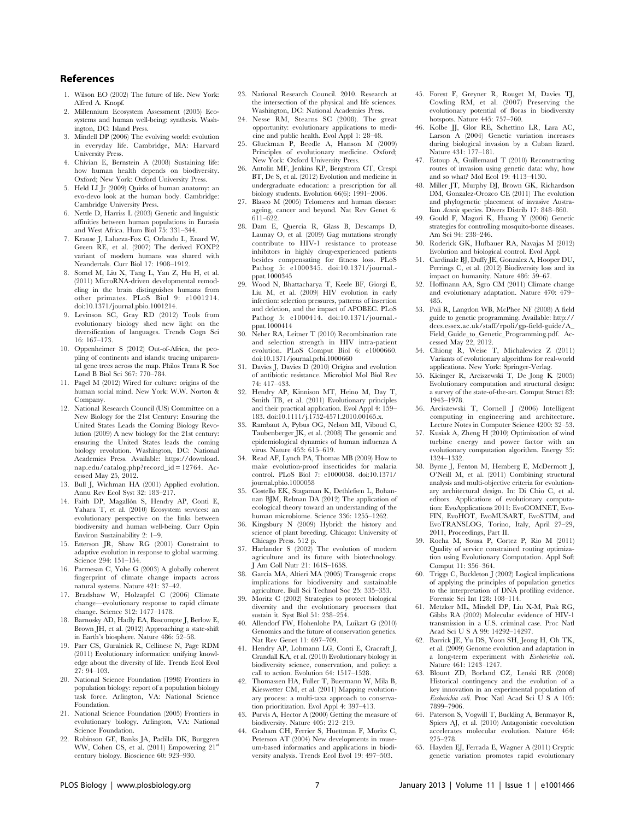#### References

- 1. Wilson EO (2002) The future of life. New York: Alfred A. Knopf.
- 2. Millennium Ecosystem Assessment (2005) Ecosystems and human well-being: synthesis. Washington, DC: Island Press.
- 3. Mindell DP (2006) The evolving world: evolution in everyday life. Cambridge, MA: Harvard University Press.
- 4. Chivian E, Bernstein A (2008) Sustaining life: how human health depends on biodiversity. Oxford; New York: Oxford University Press.
- 5. Held LI Jr (2009) Quirks of human anatomy: an evo-devo look at the human body. Cambridge: Cambridge University Press.
- 6. Nettle D, Harriss L (2003) Genetic and linguistic affinities between human populations in Eurasia and West Africa. Hum Biol 75: 331–344.
- 7. Krause J, Lalueza-Fox C, Orlando L, Enard W, Green RE, et al. (2007) The derived FOXP2 variant of modern humans was shared with Neandertals. Curr Biol 17: 1908–1912.
- 8. Somel M, Liu X, Tang L, Yan Z, Hu H, et al. (2011) MicroRNA-driven developmental remodeling in the brain distinguishes humans from other primates. PLoS Biol 9: e1001214. doi:10.1371/journal.pbio.1001214.
- 9. Levinson SC, Gray RD (2012) Tools from evolutionary biology shed new light on the diversification of languages. Trends Cogn Sci 16: 167–173.
- 10. Oppenheimer S (2012) Out-of-Africa, the peopling of continents and islands: tracing uniparental gene trees across the map. Philos Trans R Soc Lond B Biol Sci 367: 770–784.
- 11. Pagel M (2012) Wired for culture: origins of the human social mind. New York: W.W. Norton & Company.
- 12. National Research Council (US) Committee on a New Biology for the 21st Century: Ensuring the United States Leads the Coming Biology Revolution (2009) A new biology for the 21st century: ensuring the United States leads the coming biology revolution. Washington, DC: National Academies Press. Available: https://download. nap.edu/catalog.php?record\_id = 12764. Accessed May 25, 2012.
- 13. Bull J, Wichman HA (2001) Applied evolution. Annu Rev Ecol Syst 32: 183–217.
- 14. Faith DP, Magallón S, Hendry AP, Conti E, Yahara T, et al. (2010) Ecosystem services: an evolutionary perspective on the links between biodiversity and human well-being. Curr Opin Environ Sustainability 2: 1–9.
- 15. Etterson JR, Shaw RG (2001) Constraint to adaptive evolution in response to global warming. Science 294: 151–154.
- 16. Parmesan C, Yohe G (2003) A globally coherent fingerprint of climate change impacts across natural systems. Nature 421: 37–42.
- 17. Bradshaw W, Holzapfel C (2006) Climate change—evolutionary response to rapid climate change. Science 312: 1477–1478.
- 18. Barnosky AD, Hadly EA, Bascompte J, Berlow E, Brown JH, et al. (2012) Approaching a state-shift in Earth's biosphere. Nature 486: 52–58.
- 19. Parr CS, Guralnick R, Cellinese N, Page RDM (2011) Evolutionary informatics: unifying knowledge about the diversity of life. Trends Ecol Evol  $27 \cdot 94 - 103$
- 20. National Science Foundation (1998) Frontiers in population biology: report of a population biology task force. Arlington, VA: National Science Foundation.
- 21. National Science Foundation (2005) Frontiers in evolutionary biology. Arlington, VA: National Science Foundation.
- 22. Robinson GE, Banks JA, Padilla DK, Burggren WW, Cohen CS, et al. (2011) Empowering 21<sup>st</sup> century biology. Bioscience 60: 923–930.
- 23. National Research Council. 2010. Research at the intersection of the physical and life sciences. Washington, DC: National Academies Press.
- 24. Nesse RM, Stearns SC (2008). The great opportunity: evolutionary applications to medicine and public health. Evol Appl 1: 28–48.
- 25. Gluckman P, Beedle A, Hanson M (2009) Principles of evolutionary medicine. Oxford; New York: Oxford University Press.
- 26. Antolin MF, Jenkins KP, Bergstrom CT, Crespi BT, De S, et al. (2012) Evolution and medicine in undergraduate education: a prescription for all biology students. Evolution 66(6): 1991–2006.
- 27. Blasco M (2005) Telomeres and human disease: ageing, cancer and beyond. Nat Rev Genet 6: 611–622.
- 28. Dam E, Quercia R, Glass B, Descamps D, Launay O, et al. (2009) Gag mutations strongly contribute to HIV-1 resistance to protease inhibitors in highly drug-experienced patients besides compensating for fitness loss. PLoS Pathog 5: e1000345. doi:10.1371/journal. ppat.1000345
- 29. Wood N, Bhattacharya T, Keele BF, Giorgi E, Liu M, et al. (2009) HIV evolution in early infection: selection pressures, patterns of insertion and deletion, and the impact of APOBEC. PLoS Pathog 5: e1000414. doi:10.1371/journal. ppat.1000414
- 30. Neher RA, Leitner T (2010) Recombination rate and selection strength in HIV intra-patient evolution. PLoS Comput Biol 6: e1000660. doi:10.1371/journal.pcbi.1000660
- 31. Davies J, Davies D (2010) Origins and evolution of antibiotic resistance. Microbiol Mol Biol Rev 74: 417–433.
- 32. Hendry AP, Kinnison MT, Heino M, Day T, Smith TB, et al. (2011) Evolutionary principles and their practical application. Evol Appl 4: 159– 183. doi:10.1111/j.1752-4571.2010.00165.x.
- 33. Rambaut A, Pybus OG, Nelson MI, Viboud C, Taubenberger JK, et al. (2008) The genomic and epidemiological dynamics of human influenza A virus. Nature 453: 615–619.
- 34. Read AF, Lynch PA, Thomas MB (2009) How to make evolution-proof insecticides for malaria control. PLoS Biol 7: e1000058. doi:10.1371/ journal.pbio.1000058
- 35. Costello EK, Stagaman K, Dethlefsen L, Bohannan BJM, Relman DA (2012) The application of ecological theory toward an understanding of the human microbiome. Science 336: 1255–1262.
- 36. Kingsbury N (2009) Hybrid: the history and science of plant breeding. Chicago: University of
- Chicago Press. 512 p. 37. Harlander S (2002) The evolution of modern agriculture and its future with biotechnology. J Am Coll Nutr 21: 161S–165S.
- 38. Garcia MA, Altieri MA (2005) Transgenic crops: implications for biodiversity and sustainable agriculture. Bull Sci Technol Soc 25: 335–353.
- 39. Moritz C (2002) Strategies to protect biological diversity and the evolutionary processes that sustain it. Syst Biol 51: 238–254.
- 40. Allendorf FW, Hohenlohe PA, Luikart G (2010) Genomics and the future of conservation genetics. Nat Rev Genet 11: 697–709.
- 41. Hendry AP, Lohmann LG, Conti E, Cracraft J, Crandall KA, et al. (2010) Evolutionary biology in biodiversity science, conservation, and policy: a call to action. Evolution 64: 1517–1528.
- 42. Thomassen HA, Fuller T, Buermann W, Mila B, Kieswetter CM, et al. (2011) Mapping evolutionary process: a multi-taxa approach to conservation prioritization. Evol Appl 4: 397–413.
- 43. Purvis A, Hector A (2000) Getting the measure of biodiversity. Nature 405: 212–219.
- 44. Graham CH, Ferrier S, Huettman F, Moritz C, Peterson AT (2004) New developments in museum-based informatics and applications in biodiversity analysis. Trends Ecol Evol 19: 497–503.
- 45. Forest F, Greyner R, Rouget M, Davies TJ, Cowling RM, et al. (2007) Preserving the evolutionary potential of floras in biodiversity hotspots. Nature 445: 757–760.
- 46. Kolbe JJ, Glor RE, Schettino LR, Lara AC, Larson A (2004) Genetic variation increases during biological invasion by a Cuban lizard. Nature 431: 177–181.
- 47. Estoup A, Guillemaud T (2010) Reconstructing routes of invasion using genetic data: why, how and so what? Mol Ecol 19: 4113–4130.
- 48. Miller JT, Murphy DJ, Brown GK, Richardson DM, Gonzalez-Orozco CE (2011) The evolution and phylogenetic placement of invasive Australian Acacia species. Divers Distrib 17: 848–860.
- 49. Gould F, Magori K, Huang Y (2006) Genetic strategies for controlling mosquito-borne diseases. Am Sci 94: 238–246.
- 50. Roderick GK, Hufbauer RA, Navajas M (2012) Evolution and biological control. Evol Appl.
- 51. Cardinale BJ, Duffy JE, Gonzalez A, Hooper DU, Perrings C, et al. (2012) Biodiversity loss and its impact on humanity. Nature 486: 59–67.
- 52. Hoffmann AA, Sgro CM (2011) Climate change and evolutionary adaptation. Nature 470: 479– 485.
- 53. Poli R, Langdon WB, McPhee NF (2008) A field guide to genetic programming. Available: http:// dces.essex.ac.uk/staff/rpoli/gp-field-guide/A\_ Field\_Guide\_to\_Genetic\_Programming.pdf. Accessed May 22, 2012.
- 54. Chiong R, Weise T, Michalewicz Z (2011) Variants of evolutionary algorithms for real-world applications. New York: Springer-Verlag.
- 55. Kicinger R, Arciszewski T, De Jong K (2005) Evolutionary computation and structural design: a survey of the state-of-the-art. Comput Struct 83: 1943–1978.
- 56. Arciszewski T, Cornell J (2006) Intelligent computing in engineering and architecture. Lecture Notes in Computer Science 4200: 32–53.
- 57. Kusiak A, Zheng H (2010) Optimization of wind turbine energy and power factor with an evolutionary computation algorithm. Energy 35: 1324–1332.
- 58. Byrne J, Fenton M, Hemberg E, McDermott J, O'Neill M, et al. (2011) Combining structural analysis and multi-objective criteria for evolutionary architectural design. In: Di Chio C, et al. editors. Applications of evolutionary computation: EvoApplications 2011: EvoCOMNET, Evo-FIN, EvoHOT, EvoMUSART, EvoSTIM, and EvoTRANSLOG, Torino, Italy, April 27–29, 2011, Proceedings, Part II.
- 59. Rocha M, Sousa P, Cortez P, Rio M (2011) Quality of service constrained routing optimization using Evolutionary Computation. Appl Soft Comput 11: 356–364.
- Triggs C, Buckleton J (2002) Logical implications of applying the principles of population genetics to the interpretation of DNA profiling evidence. Forensic Sci Int 128: 108–114.
- 61. Metzker ML, Mindell DP, Liu X-M, Ptak RG, Gibbs RA (2002) Molecular evidence of HIV-1 transmission in a U.S. criminal case. Proc Natl Acad Sci U S A 99: 14292–14297.
- 62. Barrick JE, Yu DS, Yoon SH, Jeong H, Oh TK, et al. (2009) Genome evolution and adaptation in a long-term experiment with Escherichia coli. Nature 461: 1243–1247.
- 63. Blount ZD, Borland CZ, Lenski RE (2008) Historical contingency and the evolution of a key innovation in an experimental population of Escherichia coli. Proc Natl Acad Sci U S A 105: 7899–7906.
- 64. Paterson S, Vogwill T, Buckling A, Benmayor R, Spiers AJ, et al. (2010) Antagonistic coevolution accelerates molecular evolution. Nature 464: 275–278.
- 65. Hayden EJ, Ferrada E, Wagner A (2011) Cryptic genetic variation promotes rapid evolutionary